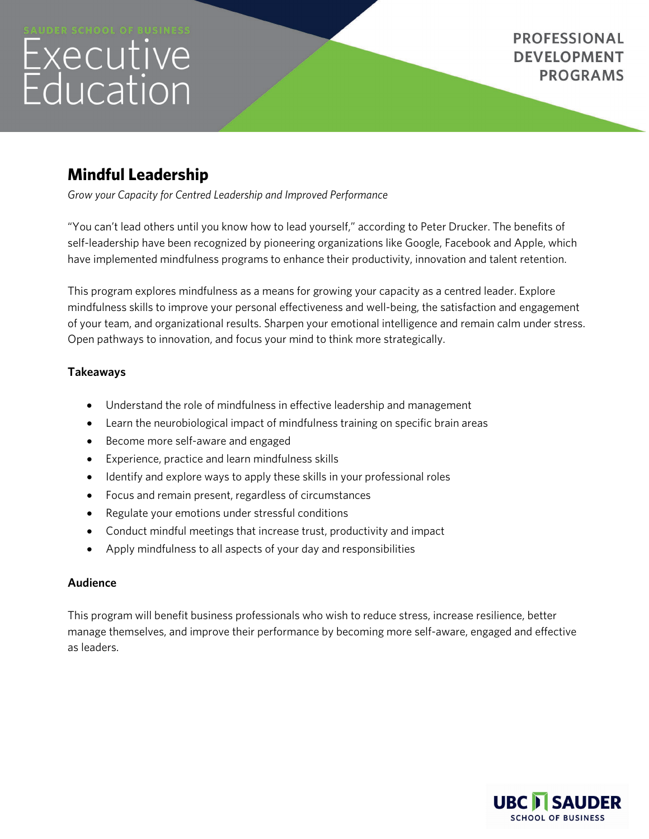# Executive<br>Education

**PROFESSIONAL DEVELOPMENT PROGRAMS** 

# **Mindful Leadership**

*Grow your Capacity for Centred Leadership and Improved Performance*

"You can't lead others until you know how to lead yourself," according to Peter Drucker. The benefits of self-leadership have been recognized by pioneering organizations like Google, Facebook and Apple, which have implemented mindfulness programs to enhance their productivity, innovation and talent retention.

This program explores mindfulness as a means for growing your capacity as a centred leader. Explore mindfulness skills to improve your personal effectiveness and well-being, the satisfaction and engagement of your team, and organizational results. Sharpen your emotional intelligence and remain calm under stress. Open pathways to innovation, and focus your mind to think more strategically.

## **Takeaways**

- Understand the role of mindfulness in effective leadership and management
- Learn the neurobiological impact of mindfulness training on specific brain areas
- Become more self-aware and engaged
- Experience, practice and learn mindfulness skills
- Identify and explore ways to apply these skills in your professional roles
- Focus and remain present, regardless of circumstances
- Regulate your emotions under stressful conditions
- Conduct mindful meetings that increase trust, productivity and impact
- Apply mindfulness to all aspects of your day and responsibilities

## **Audience**

This program will benefit business professionals who wish to reduce stress, increase resilience, better manage themselves, and improve their performance by becoming more self-aware, engaged and effective as leaders.

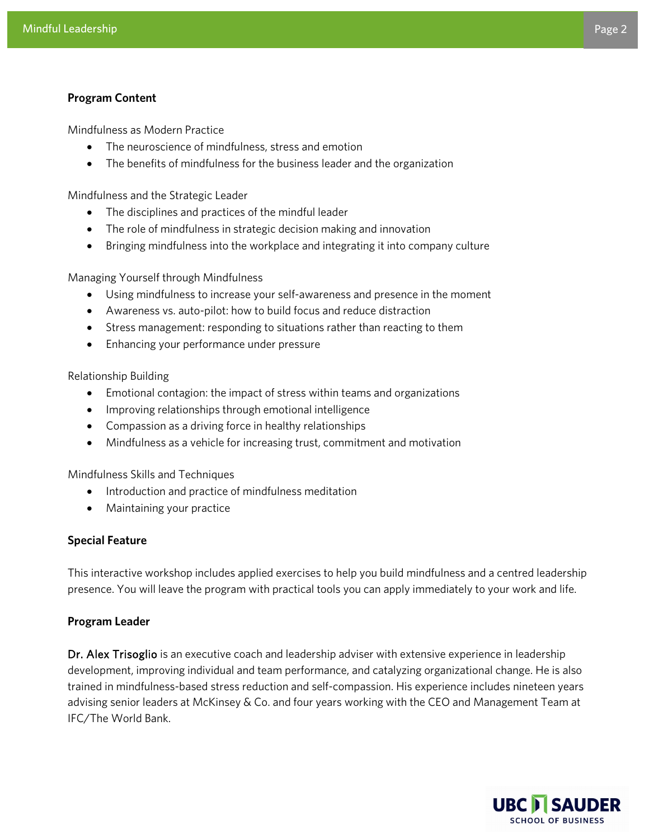#### **Program Content**

Mindfulness as Modern Practice

- The neuroscience of mindfulness, stress and emotion
- The benefits of mindfulness for the business leader and the organization

Mindfulness and the Strategic Leader

- The disciplines and practices of the mindful leader
- The role of mindfulness in strategic decision making and innovation
- Bringing mindfulness into the workplace and integrating it into company culture

Managing Yourself through Mindfulness

- Using mindfulness to increase your self-awareness and presence in the moment
- Awareness vs. auto-pilot: how to build focus and reduce distraction
- Stress management: responding to situations rather than reacting to them
- Enhancing your performance under pressure

Relationship Building

- Emotional contagion: the impact of stress within teams and organizations
- Improving relationships through emotional intelligence
- Compassion as a driving force in healthy relationships
- Mindfulness as a vehicle for increasing trust, commitment and motivation

Mindfulness Skills and Techniques

- Introduction and practice of mindfulness meditation
- Maintaining your practice

#### **Special Feature**

This interactive workshop includes applied exercises to help you build mindfulness and a centred leadership presence. You will leave the program with practical tools you can apply immediately to your work and life.

#### **Program Leader**

Dr. Alex Trisoglio is an executive coach and leadership adviser with extensive experience in leadership development, improving individual and team performance, and catalyzing organizational change. He is also trained in mindfulness-based stress reduction and self-compassion. His experience includes nineteen years advising senior leaders at McKinsey & Co. and four years working with the CEO and Management Team at IFC/The World Bank.